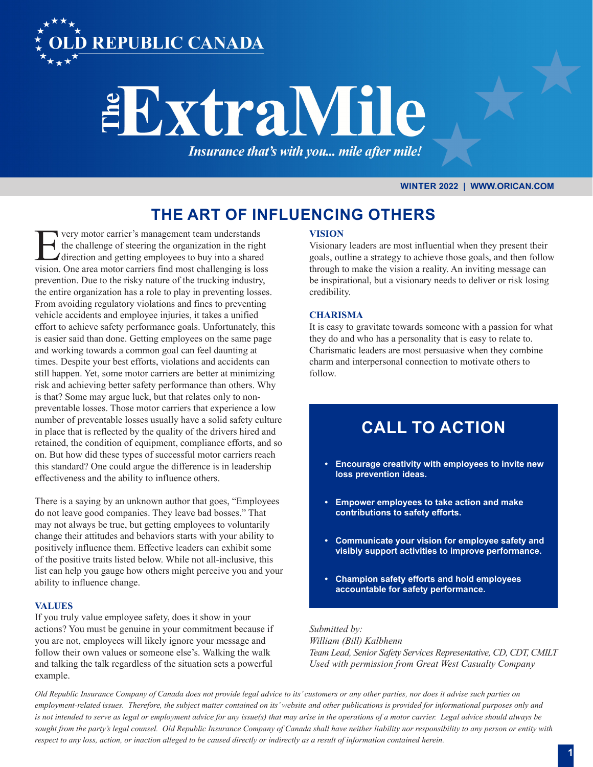

# **EExtraMile**

Insurance that's with you... mile after mile!

## **WINTER 2022 | WWW.ORICAN.COM**

# **THE ART OF INFLUENCING OTHERS**

The very motor carrier's management team understands<br>the challenge of steering the organization in the right<br>direction and getting employees to buy into a shared<br>vision. One area motor carriers find most challenging is los the challenge of steering the organization in the right direction and getting employees to buy into a shared vision. One area motor carriers find most challenging is loss prevention. Due to the risky nature of the trucking industry, the entire organization has a role to play in preventing losses. From avoiding regulatory violations and fines to preventing vehicle accidents and employee injuries, it takes a unified effort to achieve safety performance goals. Unfortunately, this is easier said than done. Getting employees on the same page and working towards a common goal can feel daunting at times. Despite your best efforts, violations and accidents can still happen. Yet, some motor carriers are better at minimizing risk and achieving better safety performance than others. Why is that? Some may argue luck, but that relates only to nonpreventable losses. Those motor carriers that experience a low number of preventable losses usually have a solid safety culture in place that is reflected by the quality of the drivers hired and retained, the condition of equipment, compliance efforts, and so on. But how did these types of successful motor carriers reach this standard? One could argue the difference is in leadership effectiveness and the ability to influence others.

There is a saying by an unknown author that goes, "Employees do not leave good companies. They leave bad bosses." That may not always be true, but getting employees to voluntarily change their attitudes and behaviors starts with your ability to positively influence them. Effective leaders can exhibit some of the positive traits listed below. While not all-inclusive, this list can help you gauge how others might perceive you and your ability to influence change.

## **VALUES**

If you truly value employee safety, does it show in your actions? You must be genuine in your commitment because if you are not, employees will likely ignore your message and follow their own values or someone else's. Walking the walk and talking the talk regardless of the situation sets a powerful example.

## **VISION**

Visionary leaders are most influential when they present their goals, outline a strategy to achieve those goals, and then follow through to make the vision a reality. An inviting message can be inspirational, but a visionary needs to deliver or risk losing credibility.

## **CHARISMA**

It is easy to gravitate towards someone with a passion for what they do and who has a personality that is easy to relate to. Charismatic leaders are most persuasive when they combine charm and interpersonal connection to motivate others to follow.

# **CALL TO ACTION**

- **• Encourage creativity with employees to invite new loss prevention ideas.**
- **• Empower employees to take action and make contributions to safety efforts.**
- **• Communicate your vision for employee safety and visibly support activities to improve performance.**
- **• Champion safety efforts and hold employees accountable for safety performance.**

*Submitted by:* 

*William (Bill) Kalbhenn Team Lead, Senior Safety Services Representative, CD, CDT, CMILT Used with permission from Great West Casualty Company*

*Old Republic Insurance Company of Canada does not provide legal advice to its' customers or any other parties, nor does it advise such parties on employment-related issues. Therefore, the subject matter contained on its' website and other publications is provided for informational purposes only and is not intended to serve as legal or employment advice for any issue(s) that may arise in the operations of a motor carrier. Legal advice should always be sought from the party's legal counsel. Old Republic Insurance Company of Canada shall have neither liability nor responsibility to any person or entity with respect to any loss, action, or inaction alleged to be caused directly or indirectly as a result of information contained herein.*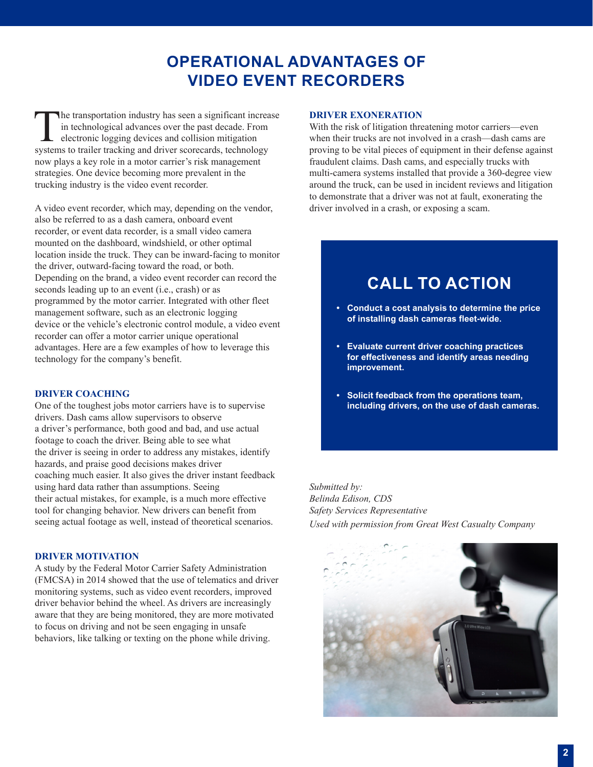# **OPERATIONAL ADVANTAGES OF VIDEO EVENT RECORDERS**

The transportation industry has seen a significant increase<br>in technological advances over the past decade. From<br>electronic logging devices and collision mitigation<br>systems to trailer tracking and driver scorecards, techno in technological advances over the past decade. From electronic logging devices and collision mitigation systems to trailer tracking and driver scorecards, technology now plays a key role in a motor carrier's risk management strategies. One device becoming more prevalent in the trucking industry is the video event recorder.

A video event recorder, which may, depending on the vendor, also be referred to as a dash camera, onboard event recorder, or event data recorder, is a small video camera mounted on the dashboard, windshield, or other optimal location inside the truck. They can be inward-facing to monitor the driver, outward-facing toward the road, or both. Depending on the brand, a video event recorder can record the seconds leading up to an event (i.e., crash) or as programmed by the motor carrier. Integrated with other fleet management software, such as an electronic logging device or the vehicle's electronic control module, a video event recorder can offer a motor carrier unique operational advantages. Here are a few examples of how to leverage this technology for the company's benefit.

#### **DRIVER COACHING**

One of the toughest jobs motor carriers have is to supervise drivers. Dash cams allow supervisors to observe a driver's performance, both good and bad, and use actual footage to coach the driver. Being able to see what the driver is seeing in order to address any mistakes, identify hazards, and praise good decisions makes driver coaching much easier. It also gives the driver instant feedback using hard data rather than assumptions. Seeing their actual mistakes, for example, is a much more effective tool for changing behavior. New drivers can benefit from seeing actual footage as well, instead of theoretical scenarios.

## **DRIVER MOTIVATION**

A study by the Federal Motor Carrier Safety Administration (FMCSA) in 2014 showed that the use of telematics and driver monitoring systems, such as video event recorders, improved driver behavior behind the wheel. As drivers are increasingly aware that they are being monitored, they are more motivated to focus on driving and not be seen engaging in unsafe behaviors, like talking or texting on the phone while driving.

#### **DRIVER EXONERATION**

With the risk of litigation threatening motor carriers—even when their trucks are not involved in a crash—dash cams are proving to be vital pieces of equipment in their defense against fraudulent claims. Dash cams, and especially trucks with multi-camera systems installed that provide a 360-degree view around the truck, can be used in incident reviews and litigation to demonstrate that a driver was not at fault, exonerating the driver involved in a crash, or exposing a scam.

# **CALL TO ACTION**

- **• Conduct a cost analysis to determine the price of installing dash cameras fleet-wide.**
- **• Evaluate current driver coaching practices for effectiveness and identify areas needing improvement.**
- **• Solicit feedback from the operations team, including drivers, on the use of dash cameras.**

*Submitted by: Belinda Edison, CDS Safety Services Representative Used with permission from Great West Casualty Company*

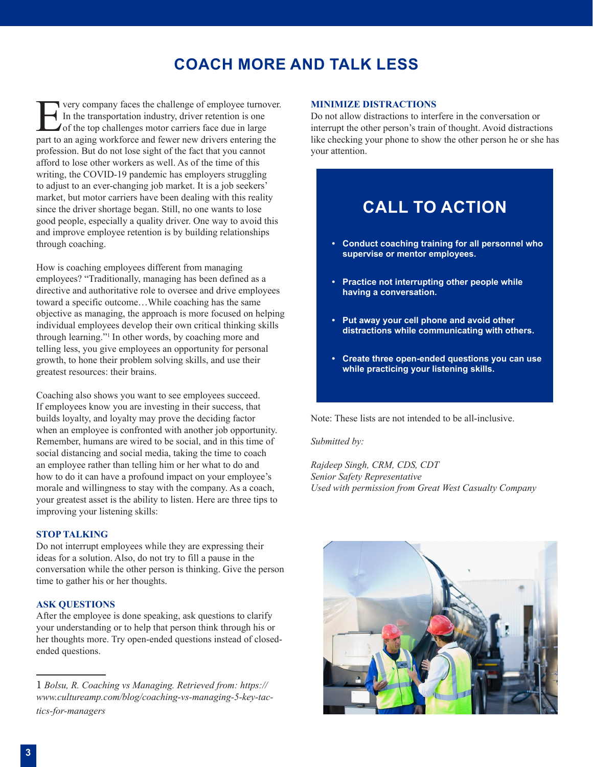# **COACH MORE AND TALK LESS**

The very company faces the challenge of employee turnover.<br>
In the transportation industry, driver retention is one<br>
of the top challenges motor carriers face due in large<br>
nart to an aging workforce and fewer new drivers In the transportation industry, driver retention is one I of the top challenges motor carriers face due in large part to an aging workforce and fewer new drivers entering the profession. But do not lose sight of the fact that you cannot afford to lose other workers as well. As of the time of this writing, the COVID-19 pandemic has employers struggling to adjust to an ever-changing job market. It is a job seekers' market, but motor carriers have been dealing with this reality since the driver shortage began. Still, no one wants to lose good people, especially a quality driver. One way to avoid this and improve employee retention is by building relationships through coaching.

How is coaching employees different from managing employees? "Traditionally, managing has been defined as a directive and authoritative role to oversee and drive employees toward a specific outcome…While coaching has the same objective as managing, the approach is more focused on helping individual employees develop their own critical thinking skills through learning."1 In other words, by coaching more and telling less, you give employees an opportunity for personal growth, to hone their problem solving skills, and use their greatest resources: their brains.

Coaching also shows you want to see employees succeed. If employees know you are investing in their success, that builds loyalty, and loyalty may prove the deciding factor when an employee is confronted with another job opportunity. Remember, humans are wired to be social, and in this time of social distancing and social media, taking the time to coach an employee rather than telling him or her what to do and how to do it can have a profound impact on your employee's morale and willingness to stay with the company. As a coach, your greatest asset is the ability to listen. Here are three tips to improving your listening skills:

#### **STOP TALKING**

Do not interrupt employees while they are expressing their ideas for a solution. Also, do not try to fill a pause in the conversation while the other person is thinking. Give the person time to gather his or her thoughts.

#### **ASK QUESTIONS**

After the employee is done speaking, ask questions to clarify your understanding or to help that person think through his or her thoughts more. Try open-ended questions instead of closedended questions.

## **MINIMIZE DISTRACTIONS**

Do not allow distractions to interfere in the conversation or interrupt the other person's train of thought. Avoid distractions like checking your phone to show the other person he or she has your attention.

# **CALL TO ACTION**

- **• Conduct coaching training for all personnel who supervise or mentor employees.**
- **• Practice not interrupting other people while having a conversation.**
- **• Put away your cell phone and avoid other distractions while communicating with others.**
- **• Create three open-ended questions you can use while practicing your listening skills.**

Note: These lists are not intended to be all-inclusive.

*Submitted by:* 

*Rajdeep Singh, CRM, CDS, CDT Senior Safety Representative Used with permission from Great West Casualty Company*



<sup>1</sup> *Bolsu, R. Coaching vs Managing. Retrieved from: https:// www.cultureamp.com/blog/coaching-vs-managing-5-key-tactics-for-managers*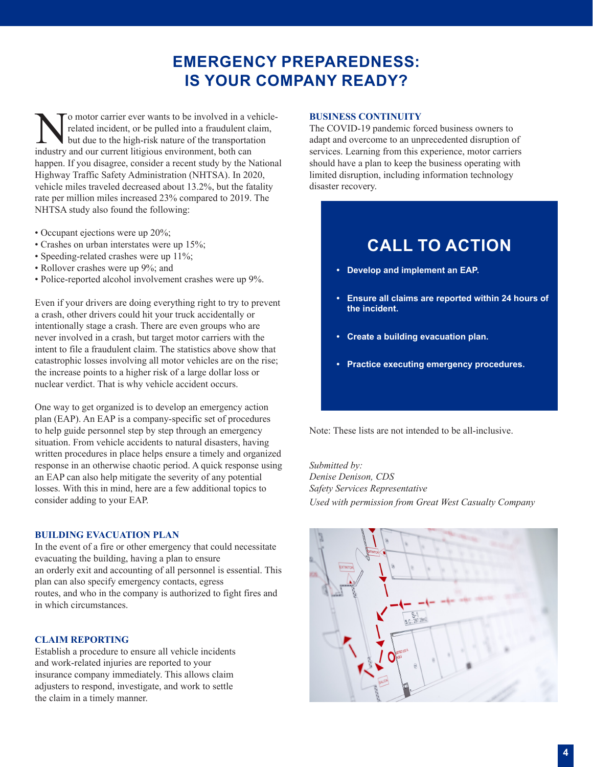# **EMERGENCY PREPAREDNESS: IS YOUR COMPANY READY?**

No motor carrier ever wants to be involved in a vehicle-<br>related incident, or be pulled into a fraudulent claim,<br>but due to the high-risk nature of the transportation<br>industry and our current litioious environment both can related incident, or be pulled into a fraudulent claim, but due to the high-risk nature of the transportation industry and our current litigious environment, both can happen. If you disagree, consider a recent study by the National Highway Traffic Safety Administration (NHTSA). In 2020, vehicle miles traveled decreased about 13.2%, but the fatality rate per million miles increased 23% compared to 2019. The NHTSA study also found the following:

- Occupant ejections were up 20%;
- Crashes on urban interstates were up 15%;
- Speeding-related crashes were up 11%;
- Rollover crashes were up 9%; and
- Police-reported alcohol involvement crashes were up 9%.

Even if your drivers are doing everything right to try to prevent a crash, other drivers could hit your truck accidentally or intentionally stage a crash. There are even groups who are never involved in a crash, but target motor carriers with the intent to file a fraudulent claim. The statistics above show that catastrophic losses involving all motor vehicles are on the rise; the increase points to a higher risk of a large dollar loss or nuclear verdict. That is why vehicle accident occurs.

One way to get organized is to develop an emergency action plan (EAP). An EAP is a company-specific set of procedures to help guide personnel step by step through an emergency situation. From vehicle accidents to natural disasters, having written procedures in place helps ensure a timely and organized response in an otherwise chaotic period. A quick response using an EAP can also help mitigate the severity of any potential losses. With this in mind, here are a few additional topics to consider adding to your EAP.

## **BUILDING EVACUATION PLAN**

In the event of a fire or other emergency that could necessitate evacuating the building, having a plan to ensure an orderly exit and accounting of all personnel is essential. This plan can also specify emergency contacts, egress routes, and who in the company is authorized to fight fires and in which circumstances.

## **CLAIM REPORTING**

Establish a procedure to ensure all vehicle incidents and work-related injuries are reported to your insurance company immediately. This allows claim adjusters to respond, investigate, and work to settle the claim in a timely manner.

## **BUSINESS CONTINUITY**

The COVID-19 pandemic forced business owners to adapt and overcome to an unprecedented disruption of services. Learning from this experience, motor carriers should have a plan to keep the business operating with limited disruption, including information technology disaster recovery.

# **CALL TO ACTION**

- **• Develop and implement an EAP.**
- **• Ensure all claims are reported within 24 hours of the incident.**
- **• Create a building evacuation plan.**
- **• Practice executing emergency procedures.**

Note: These lists are not intended to be all-inclusive.

*Submitted by: Denise Denison, CDS Safety Services Representative Used with permission from Great West Casualty Company*